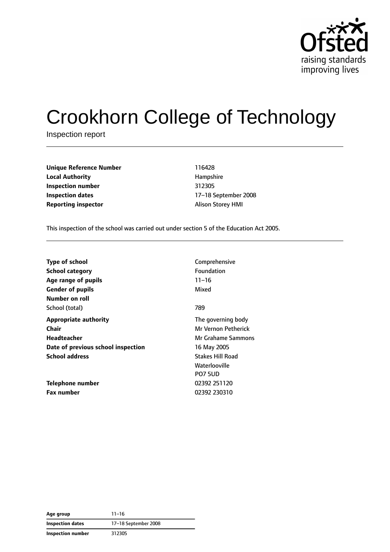

# Crookhorn College of Technology

Inspection report

| <b>Unique Reference Number</b> | 116428                   |
|--------------------------------|--------------------------|
| <b>Local Authority</b>         | Hampshire                |
| Inspection number              | 312305                   |
| Inspection dates               | 17-18 September 2        |
| <b>Reporting inspector</b>     | <b>Alison Storey HMI</b> |

**Local Authority** Hampshire **Inspection number** 312305 **Inspection dates** 17–18 September 2008

This inspection of the school was carried out under section 5 of the Education Act 2005.

| Type of school                                    | Comprehensive           |
|---------------------------------------------------|-------------------------|
| <b>School category</b>                            | Foundation              |
| Age range of pupils                               | $11 - 16$               |
| <b>Gender of pupils</b>                           | Mixed                   |
| Number on roll                                    |                         |
| School (total)                                    | 789                     |
| <b>Appropriate authority</b>                      | The governing body      |
| Chair                                             | Mr Vernon Petherick     |
| Headteacher                                       | Mr Grahame Sammons      |
| Date of previous school inspection<br>16 May 2005 |                         |
| <b>School address</b>                             | <b>Stakes Hill Road</b> |
|                                                   | Waterlooville           |
|                                                   | <b>PO7 5UD</b>          |
| Telephone number                                  | 02392 251120            |
| <b>Fax number</b>                                 | 02392 230310            |

| Age group               | $11 - 16$            |
|-------------------------|----------------------|
| <b>Inspection dates</b> | 17-18 September 2008 |
| Inspection number       | 312305               |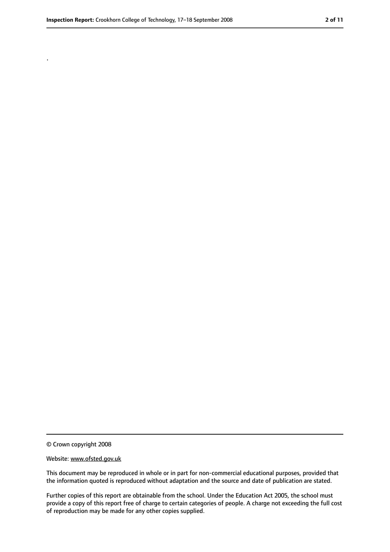.

<sup>©</sup> Crown copyright 2008

Website: www.ofsted.gov.uk

This document may be reproduced in whole or in part for non-commercial educational purposes, provided that the information quoted is reproduced without adaptation and the source and date of publication are stated.

Further copies of this report are obtainable from the school. Under the Education Act 2005, the school must provide a copy of this report free of charge to certain categories of people. A charge not exceeding the full cost of reproduction may be made for any other copies supplied.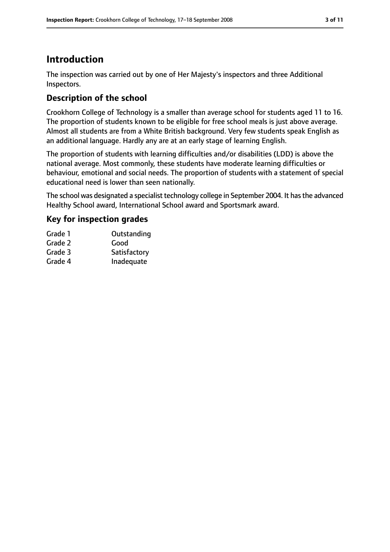# **Introduction**

The inspection was carried out by one of Her Majesty's inspectors and three Additional Inspectors.

## **Description of the school**

Crookhorn College of Technology is a smaller than average school for students aged 11 to 16. The proportion of students known to be eligible for free school meals is just above average. Almost all students are from a White British background. Very few students speak English as an additional language. Hardly any are at an early stage of learning English.

The proportion of students with learning difficulties and/or disabilities (LDD) is above the national average. Most commonly, these students have moderate learning difficulties or behaviour, emotional and social needs. The proportion of students with a statement of special educational need is lower than seen nationally.

The school was designated a specialist technology college in September 2004. It has the advanced Healthy School award, International School award and Sportsmark award.

#### **Key for inspection grades**

| Grade 1 | Outstanding  |
|---------|--------------|
| Grade 2 | Good         |
| Grade 3 | Satisfactory |
| Grade 4 | Inadequate   |
|         |              |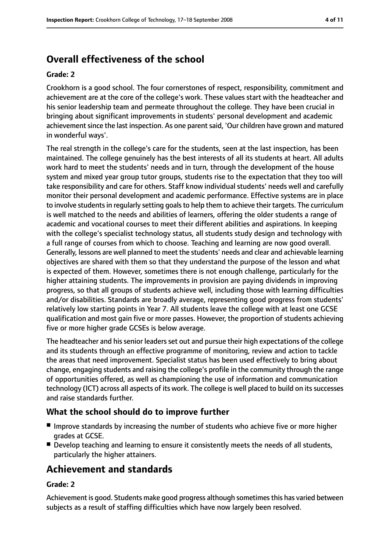# **Overall effectiveness of the school**

#### **Grade: 2**

Crookhorn is a good school. The four cornerstones of respect, responsibility, commitment and achievement are at the core of the college's work. These values start with the headteacher and his senior leadership team and permeate throughout the college. They have been crucial in bringing about significant improvements in students' personal development and academic achievement since the last inspection. As one parent said, 'Our children have grown and matured in wonderful ways'.

The real strength in the college's care for the students, seen at the last inspection, has been maintained. The college genuinely has the best interests of all its students at heart. All adults work hard to meet the students' needs and in turn, through the development of the house system and mixed year group tutor groups, students rise to the expectation that they too will take responsibility and care for others. Staff know individual students' needs well and carefully monitor their personal development and academic performance. Effective systems are in place to involve students in regularly setting goals to help them to achieve their targets. The curriculum is well matched to the needs and abilities of learners, offering the older students a range of academic and vocational courses to meet their different abilities and aspirations. In keeping with the college's specialist technology status, all students study design and technology with a full range of courses from which to choose. Teaching and learning are now good overall. Generally, lessons are well planned to meet the students' needs and clear and achievable learning objectives are shared with them so that they understand the purpose of the lesson and what is expected of them. However, sometimes there is not enough challenge, particularly for the higher attaining students. The improvements in provision are paying dividends in improving progress, so that all groups of students achieve well, including those with learning difficulties and/or disabilities. Standards are broadly average, representing good progress from students' relatively low starting points in Year 7. All students leave the college with at least one GCSE qualification and most gain five or more passes. However, the proportion of students achieving five or more higher grade GCSEs is below average.

The headteacher and his senior leaders set out and pursue their high expectations of the college and its students through an effective programme of monitoring, review and action to tackle the areas that need improvement. Specialist status has been used effectively to bring about change, engaging students and raising the college's profile in the community through the range of opportunities offered, as well as championing the use of information and communication technology (ICT) across all aspects of its work. The college is well placed to build on its successes and raise standards further.

#### **What the school should do to improve further**

- Improve standards by increasing the number of students who achieve five or more higher grades at GCSE.
- Develop teaching and learning to ensure it consistently meets the needs of all students, particularly the higher attainers.

## **Achievement and standards**

#### **Grade: 2**

Achievement is good. Students make good progress although sometimes this has varied between subjects as a result of staffing difficulties which have now largely been resolved.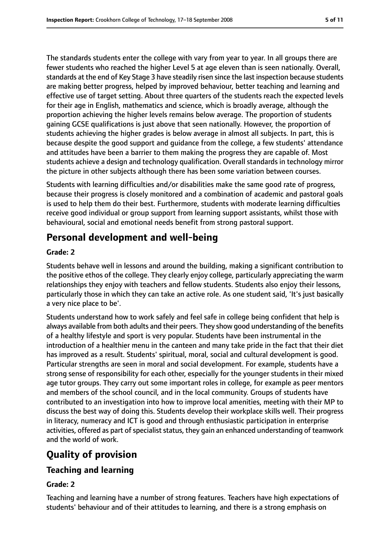The standards students enter the college with vary from year to year. In all groups there are fewer students who reached the higher Level 5 at age eleven than is seen nationally. Overall, standards at the end of Key Stage 3 have steadily risen since the last inspection because students are making better progress, helped by improved behaviour, better teaching and learning and effective use of target setting. About three quarters of the students reach the expected levels for their age in English, mathematics and science, which is broadly average, although the proportion achieving the higher levels remains below average. The proportion of students gaining GCSE qualifications is just above that seen nationally. However, the proportion of students achieving the higher grades is below average in almost all subjects. In part, this is because despite the good support and guidance from the college, a few students' attendance and attitudes have been a barrier to them making the progress they are capable of. Most students achieve a design and technology qualification. Overall standards in technology mirror

Students with learning difficulties and/or disabilities make the same good rate of progress, because their progress is closely monitored and a combination of academic and pastoral goals is used to help them do their best. Furthermore, students with moderate learning difficulties receive good individual or group support from learning support assistants, whilst those with behavioural, social and emotional needs benefit from strong pastoral support.

the picture in other subjects although there has been some variation between courses.

## **Personal development and well-being**

#### **Grade: 2**

Students behave well in lessons and around the building, making a significant contribution to the positive ethos of the college. They clearly enjoy college, particularly appreciating the warm relationships they enjoy with teachers and fellow students. Students also enjoy their lessons, particularly those in which they can take an active role. As one student said, 'It's just basically a very nice place to be'.

Students understand how to work safely and feel safe in college being confident that help is always available from both adults and their peers. They show good understanding of the benefits of a healthy lifestyle and sport is very popular. Students have been instrumental in the introduction of a healthier menu in the canteen and many take pride in the fact that their diet has improved as a result. Students' spiritual, moral, social and cultural development is good. Particular strengths are seen in moral and social development. For example, students have a strong sense of responsibility for each other, especially for the younger students in their mixed age tutor groups. They carry out some important roles in college, for example as peer mentors and members of the school council, and in the local community. Groups of students have contributed to an investigation into how to improve local amenities, meeting with their MP to discuss the best way of doing this. Students develop their workplace skills well. Their progress in literacy, numeracy and ICT is good and through enthusiastic participation in enterprise activities, offered as part of specialist status, they gain an enhanced understanding of teamwork and the world of work.

# **Quality of provision**

#### **Teaching and learning**

#### **Grade: 2**

Teaching and learning have a number of strong features. Teachers have high expectations of students' behaviour and of their attitudes to learning, and there is a strong emphasis on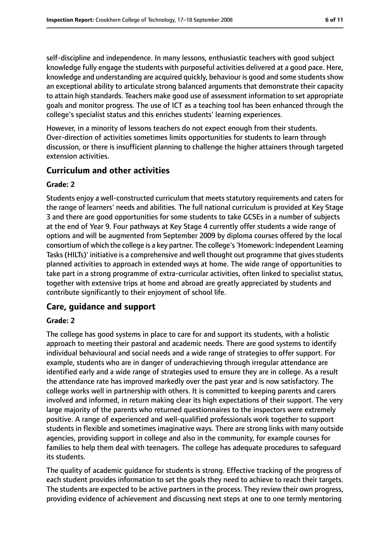self-discipline and independence. In many lessons, enthusiastic teachers with good subject knowledge fully engage the students with purposeful activities delivered at a good pace. Here, knowledge and understanding are acquired quickly, behaviour is good and some students show an exceptional ability to articulate strong balanced arguments that demonstrate their capacity to attain high standards. Teachers make good use of assessment information to set appropriate goals and monitor progress. The use of ICT as a teaching tool has been enhanced through the college's specialist status and this enriches students' learning experiences.

However, in a minority of lessons teachers do not expect enough from their students. Over-direction of activities sometimes limits opportunities for students to learn through discussion, or there is insufficient planning to challenge the higher attainers through targeted extension activities.

#### **Curriculum and other activities**

#### **Grade: 2**

Students enjoy a well-constructed curriculum that meets statutory requirements and caters for the range of learners' needs and abilities. The full national curriculum is provided at Key Stage 3 and there are good opportunities for some students to take GCSEs in a number of subjects at the end of Year 9. Four pathways at Key Stage 4 currently offer students a wide range of options and will be augmented from September 2009 by diploma courses offered by the local consortium of which the college is a key partner. The college's'Homework: Independent Learning Tasks (HILTs)' initiative is a comprehensive and well thought out programme that gives students planned activities to approach in extended ways at home. The wide range of opportunities to take part in a strong programme of extra-curricular activities, often linked to specialist status, together with extensive trips at home and abroad are greatly appreciated by students and contribute significantly to their enjoyment of school life.

#### **Care, guidance and support**

#### **Grade: 2**

The college has good systems in place to care for and support its students, with a holistic approach to meeting their pastoral and academic needs. There are good systems to identify individual behavioural and social needs and a wide range of strategies to offer support. For example, students who are in danger of underachieving through irregular attendance are identified early and a wide range of strategies used to ensure they are in college. As a result the attendance rate has improved markedly over the past year and is now satisfactory. The college works well in partnership with others. It is committed to keeping parents and carers involved and informed, in return making clear its high expectations of their support. The very large majority of the parents who returned questionnaires to the inspectors were extremely positive. A range of experienced and well-qualified professionals work together to support students in flexible and sometimes imaginative ways. There are strong links with many outside agencies, providing support in college and also in the community, for example courses for families to help them deal with teenagers. The college has adequate procedures to safeguard its students.

The quality of academic guidance for students is strong. Effective tracking of the progress of each student provides information to set the goals they need to achieve to reach their targets. The students are expected to be active partners in the process. They review their own progress, providing evidence of achievement and discussing next steps at one to one termly mentoring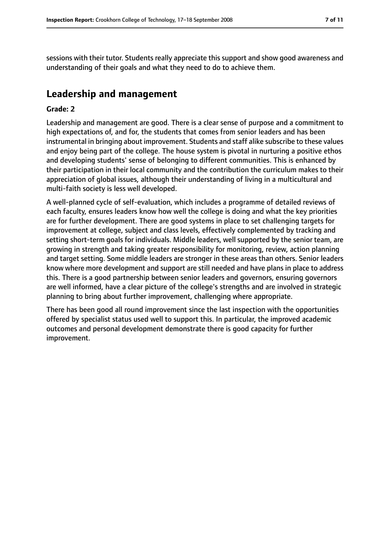sessions with their tutor. Students really appreciate this support and show good awareness and understanding of their goals and what they need to do to achieve them.

## **Leadership and management**

#### **Grade: 2**

Leadership and management are good. There is a clear sense of purpose and a commitment to high expectations of, and for, the students that comes from senior leaders and has been instrumental in bringing about improvement. Students and staff alike subscribe to these values and enjoy being part of the college. The house system is pivotal in nurturing a positive ethos and developing students' sense of belonging to different communities. This is enhanced by their participation in their local community and the contribution the curriculum makes to their appreciation of global issues, although their understanding of living in a multicultural and multi-faith society is less well developed.

A well-planned cycle of self-evaluation, which includes a programme of detailed reviews of each faculty, ensures leaders know how well the college is doing and what the key priorities are for further development. There are good systems in place to set challenging targets for improvement at college, subject and class levels, effectively complemented by tracking and setting short-term goals for individuals. Middle leaders, well supported by the senior team, are growing in strength and taking greater responsibility for monitoring, review, action planning and target setting. Some middle leaders are stronger in these areas than others. Senior leaders know where more development and support are still needed and have plans in place to address this. There is a good partnership between senior leaders and governors, ensuring governors are well informed, have a clear picture of the college's strengths and are involved in strategic planning to bring about further improvement, challenging where appropriate.

There has been good all round improvement since the last inspection with the opportunities offered by specialist status used well to support this. In particular, the improved academic outcomes and personal development demonstrate there is good capacity for further improvement.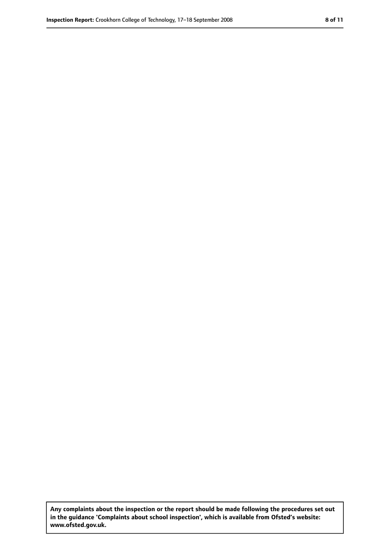**Any complaints about the inspection or the report should be made following the procedures set out in the guidance 'Complaints about school inspection', which is available from Ofsted's website: www.ofsted.gov.uk.**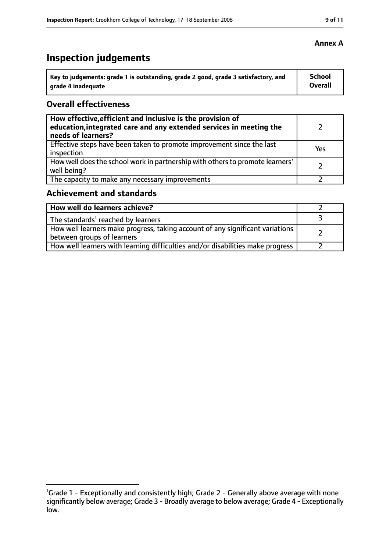# **Inspection judgements**

| Key to judgements: grade 1 is outstanding, grade 2 good, grade 3 satisfactory, and | School         |
|------------------------------------------------------------------------------------|----------------|
| grade 4 inadequate                                                                 | <b>Overall</b> |

#### **Overall effectiveness**

| How effective, efficient and inclusive is the provision of<br>education, integrated care and any extended services in meeting the<br>needs of learners? |     |
|---------------------------------------------------------------------------------------------------------------------------------------------------------|-----|
| Effective steps have been taken to promote improvement since the last<br>inspection                                                                     | Yes |
| How well does the school work in partnership with others to promote learners'<br>well being?                                                            |     |
| The capacity to make any necessary improvements                                                                                                         |     |

#### **Achievement and standards**

| How well do learners achieve?                                                                                 |  |
|---------------------------------------------------------------------------------------------------------------|--|
| The standards' reached by learners                                                                            |  |
| How well learners make progress, taking account of any significant variations  <br>between groups of learners |  |
| How well learners with learning difficulties and/or disabilities make progress                                |  |

<sup>&</sup>lt;sup>1</sup>Grade 1 - Exceptionally and consistently high; Grade 2 - Generally above average with none significantly below average; Grade 3 - Broadly average to below average; Grade 4 - Exceptionally low.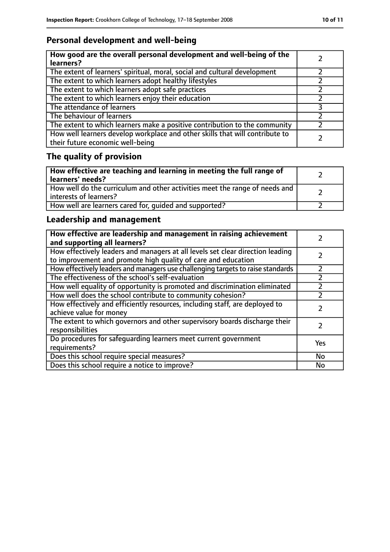## **Personal development and well-being**

| How good are the overall personal development and well-being of the<br>learners?                                 |  |
|------------------------------------------------------------------------------------------------------------------|--|
| The extent of learners' spiritual, moral, social and cultural development                                        |  |
| The extent to which learners adopt healthy lifestyles                                                            |  |
| The extent to which learners adopt safe practices                                                                |  |
| The extent to which learners enjoy their education                                                               |  |
| The attendance of learners                                                                                       |  |
| The behaviour of learners                                                                                        |  |
| The extent to which learners make a positive contribution to the community                                       |  |
| How well learners develop workplace and other skills that will contribute to<br>their future economic well-being |  |

# **The quality of provision**

| How effective are teaching and learning in meeting the full range of<br>learners' needs?              |  |
|-------------------------------------------------------------------------------------------------------|--|
| How well do the curriculum and other activities meet the range of needs and<br>interests of learners? |  |
| How well are learners cared for, quided and supported?                                                |  |

## **Leadership and management**

| How effective are leadership and management in raising achievement<br>and supporting all learners?                                              |     |
|-------------------------------------------------------------------------------------------------------------------------------------------------|-----|
| How effectively leaders and managers at all levels set clear direction leading<br>to improvement and promote high quality of care and education |     |
| How effectively leaders and managers use challenging targets to raise standards                                                                 |     |
| The effectiveness of the school's self-evaluation                                                                                               |     |
| How well equality of opportunity is promoted and discrimination eliminated                                                                      |     |
| How well does the school contribute to community cohesion?                                                                                      |     |
| How effectively and efficiently resources, including staff, are deployed to<br>achieve value for money                                          |     |
| The extent to which governors and other supervisory boards discharge their<br>responsibilities                                                  |     |
| Do procedures for safequarding learners meet current government<br>requirements?                                                                | Yes |
| Does this school require special measures?                                                                                                      | No  |
| Does this school require a notice to improve?                                                                                                   | No  |